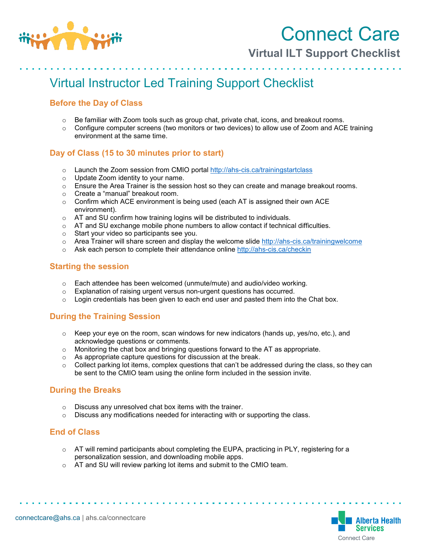

Connect Care

**Virtual ILT Support Checklist**

# Virtual Instructor Led Training Support Checklist

### **Before the Day of Class**

- $\circ$  Be familiar with Zoom tools such as group chat, private chat, icons, and breakout rooms.
- $\circ$  Configure computer screens (two monitors or two devices) to allow use of Zoom and ACE training environment at the same time.

#### **Day of Class (15 to 30 minutes prior to start)**

- $\circ$  Launch the Zoom session from CMIO portal<http://ahs-cis.ca/trainingstartclass>
- o Update Zoom identity to your name.
- $\circ$  Ensure the Area Trainer is the session host so they can create and manage breakout rooms.
- o Create a "manual" breakout room.
- o Confirm which ACE environment is being used (each AT is assigned their own ACE environment).
- o AT and SU confirm how training logins will be distributed to individuals.
- $\circ$  AT and SU exchange mobile phone numbers to allow contact if technical difficulties.
- o Start your video so participants see you.
- $\circ$  Area Trainer will share screen and display the welcome slide<http://ahs-cis.ca/trainingwelcome>
- $\circ$  Ask each person to complete their attendance online<http://ahs-cis.ca/checkin>

#### **Starting the session**

- $\circ$  Each attendee has been welcomed (unmute/mute) and audio/video working.
- $\circ$  Explanation of raising urgent versus non-urgent questions has occurred.
- $\circ$  Login credentials has been given to each end user and pasted them into the Chat box.

## **During the Training Session**

- $\circ$  Keep your eye on the room, scan windows for new indicators (hands up, yes/no, etc.), and acknowledge questions or comments.
- o Monitoring the chat box and bringing questions forward to the AT as appropriate.
- o As appropriate capture questions for discussion at the break.
- $\circ$  Collect parking lot items, complex questions that can't be addressed during the class, so they can be sent to the CMIO team using the online form included in the session invite.

#### **During the Breaks**

- o Discuss any unresolved chat box items with the trainer.
- $\circ$  Discuss any modifications needed for interacting with or supporting the class.

#### **End of Class**

- $\circ$  AT will remind participants about completing the EUPA, practicing in PLY, registering for a personalization session, and downloading mobile apps.
- o AT and SU will review parking lot items and submit to the CMIO team.